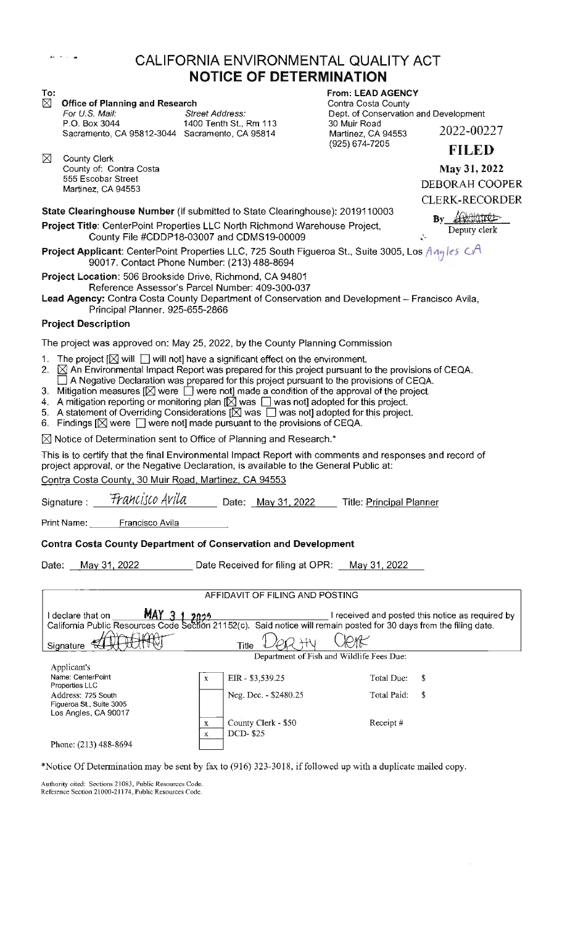## ~--- - • **"!Ill** CALIFORNIA ENVIRONMENTAL QUALITY ACT **NOTICE OF DETERMINATION**

|  |  |  |  | $\boxtimes$ Office of Planning and Research |
|--|--|--|--|---------------------------------------------|
|--|--|--|--|---------------------------------------------|

For U.S. Mail: Street Address: Dept. of Conservation and Development<br>P.O. Box 3044 1400 Tenth St., Rm 113 30 Muir Road 1400 Tenth St., Rm 113 Sacramento, CA 95812-3044 Sacramento, CA 95814

 $\boxtimes$  County Clerk County of: Contra Costa 555 Escobar Street Martinez, CA 94553

**To: From: LEAD AGENCY Contra Costa County** 30 Muir Road Martinez, CA 94553 (925) 674-7205 2022-00227

**FILED** 

**May 31, 2022**  DEBORAH COOPER CLERK-RECORDER

 $Bv$ 

**State Clearinghouse Number** (if submitted to State Clearinghouse): 2019110003

**Project Title:** CenterPoint Properties LLC North Richmond Warehouse Project, By Andrew Deputy clerk<br>Project Title: CenterPoint Properties LLC North Richmond Warehouse Project, Deputy clerk County File #CDDP18-03007 and CDMS19-00009

**Project Applicant:** CenterPoint Properties LLC, 725 South Figueroa St., Suite 3005, Los *Aneles* CA 90017. Contact Phone Number: (213) 488-8694

**Project Location:** 506 Brookside Drive, Richmond, CA 94801 Reference Assessor's Parcel Number: 409-300-037

Lead Agency: Contra Costa County Department of Conservation and Development - Francisco Avila, Principal Planner. 925-655-2866

### **Project Description**

The project was approved on: May 25, 2022, by the County Planning Commission

- 1. The project  $[\boxtimes]$  will  $\Box$  will not] have a significant effect on the environment.<br>2.  $[\boxtimes]$  An Environmental Impact Report was prepared for this project pursuant to
- $\boxtimes$  An Environmental Impact Report was prepared for this project pursuant to the provisions of CEQA.  $\Box$  A Negative Declaration was prepared for this project pursuant to the provisions of CEQA.
- 3. Mitigation measures  $[\boxtimes]$  were  $\Box$  were not] made a condition of the approval of the project.
- 4. A mitigation reporting or monitoring plan  $[\boxtimes]$  was  $\Box$  was not] adopted for this project.
- $5.$  A statement of Overriding Considerations  $[ $\times$  \times \times \times \times \times \times]$  was not] adopted for this project.
- 6. Findings  $[\boxtimes]$  were  $[\Box]$  were not] made pursuant to the provisions of CEQA.

 $\boxtimes$  Notice of Determination sent to Office of Planning and Research.<sup>\*</sup>

This is to certify that the final Environmental Impact Report with comments and responses and record of project approval, or the Negative Declaration, is available to the General Public at:

Contra Costa County, 30 Muir Road, Martinez, CA 94553

Signature : *Francisco Avila* Date: May 31, 2022 Title: Principal Planner

Print Name: Francisco Avila

#### **Contra Costa County Department of Conservation and Development**

Date: May 31, 2022 Date Received for filing at OPR: May 31, 2022

#### AFFIDAVIT OF FILING AND POSTING

I declare that on **M >!I** I received and posted this notice as required by California Public Resources Code Section 21152(c). Said notice will remain posted for 30 days from the filing date. Title *Der*ety Clent € Signature Department of Fish and Wildlife Fees Due: Applicant's Name: CenterPoint EIR- \$3,539.25 Total Due: \$ X Properties LLC Address: 725 South Neg. Dec. - \$2480.25 Total Paid: \$ Figueroa St., Suite 3005 Los Angles, CA 90017 County Clerk - \$50 Receipt # X DCD- \$25 X Phone: (213) 488-8694

\*Notice Of Determination may be sent by fax to (916) 323-3018, if followed up with a duplicate mailed copy.

Authority cited: Sections 21083, Public Resources Code. Reference Section 21000-21174, Public Resources Code.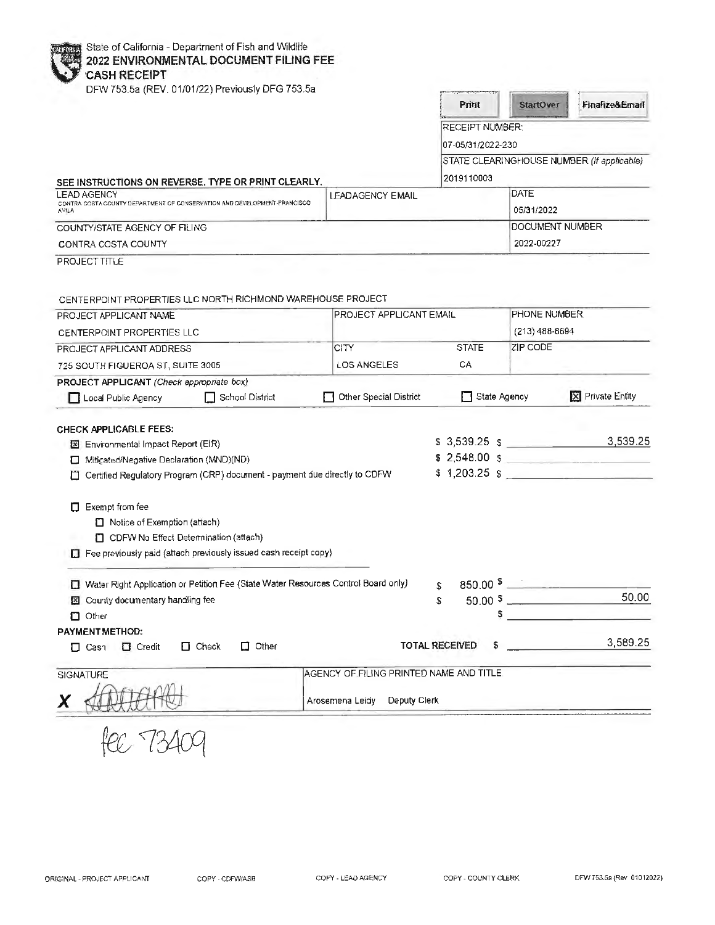|  | State of California - Department of Fish and Wildlife |  |
|--|-------------------------------------------------------|--|
|  |                                                       |  |

# **2022 ENVIRONMENTAL DOCUMENT FILING FEE 'CASH RECEIPT**

|  |  | DFW 753.5a (REV. 01/01/22) Previously DFG 753.5a |  |
|--|--|--------------------------------------------------|--|

| Print                  | <b>StartOver</b>                              |   | Finalize&Email                             |          |
|------------------------|-----------------------------------------------|---|--------------------------------------------|----------|
| <b>RECEIPT NUMBER:</b> |                                               |   |                                            |          |
| 07-05/31/2022-230      |                                               |   |                                            |          |
|                        |                                               |   | STATE CLEARINGHOUSE NUMBER (If applicable) |          |
| 2019110003             |                                               |   |                                            |          |
|                        | DATE                                          |   |                                            |          |
|                        | 05/31/2022                                    |   |                                            |          |
| DOCUMENT NUMBER        |                                               |   |                                            |          |
|                        | 2022-00227                                    |   |                                            |          |
|                        |                                               |   |                                            |          |
|                        |                                               |   |                                            |          |
|                        |                                               |   |                                            |          |
|                        | <b>PHONE NUMBER</b>                           |   |                                            |          |
|                        | $(213)$ 488-8694                              |   |                                            |          |
| <b>STATE</b>           | ZIP CODE                                      |   |                                            |          |
|                        |                                               |   |                                            |          |
|                        |                                               |   |                                            |          |
|                        | State Agency                                  |   | X Private Entity                           |          |
|                        |                                               |   |                                            |          |
|                        |                                               |   |                                            |          |
|                        | $$3,539.25$ $$$                               |   |                                            | 3,539.25 |
|                        |                                               |   | $$2,548.00$$ $$$                           |          |
|                        | $$1,203.25$ \$                                |   |                                            |          |
|                        |                                               |   |                                            |          |
|                        |                                               |   |                                            |          |
|                        |                                               |   |                                            |          |
|                        |                                               |   |                                            |          |
|                        |                                               |   |                                            |          |
|                        | $850.00 \frac{\text{S}}{\text{S}}$            |   |                                            |          |
|                        |                                               |   |                                            | 50.00    |
|                        |                                               |   |                                            |          |
|                        |                                               |   |                                            |          |
|                        |                                               |   |                                            |          |
|                        |                                               |   |                                            |          |
|                        |                                               |   |                                            |          |
|                        |                                               |   |                                            |          |
|                        |                                               |   |                                            |          |
| <b>TOTAL RECEIVED</b>  | \$<br>AGENCY OF FILING PRINTED NAME AND TITLE | 5 |                                            | 3,589.25 |